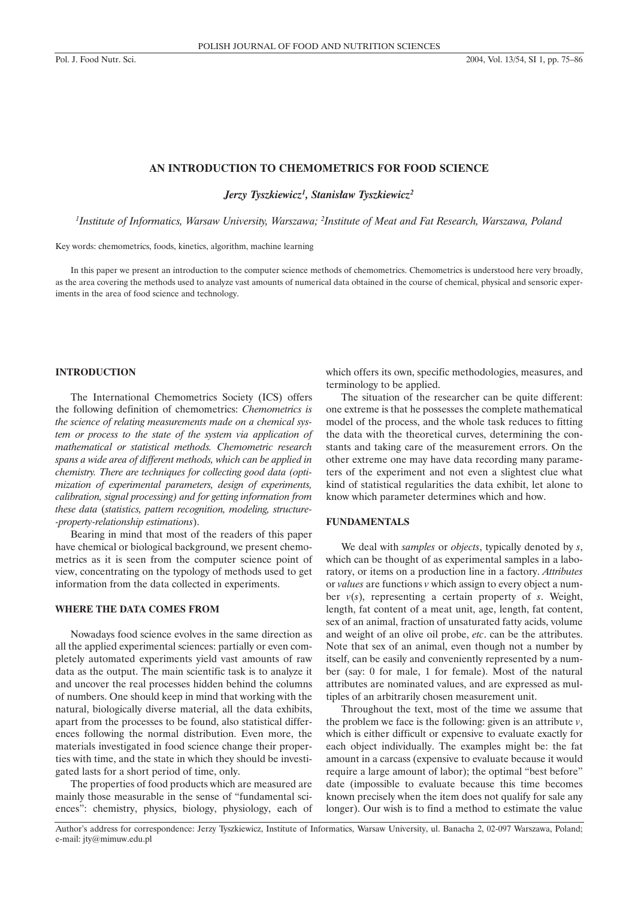## **AN INTRODUCTION TO CHEMOMETRICS FOR FOOD SCIENCE**

*Jerzy Tyszkiewicz1 , Stanis³aw Tyszkiewicz2*

*1 Institute of Informatics, Warsaw University, Warszawa; 2 Institute of Meat and Fat Research, Warszawa, Poland*

Key words: chemometrics, foods, kinetics, algorithm, machine learning

In this paper we present an introduction to the computer science methods of chemometrics. Chemometrics is understood here very broadly, as the area covering the methods used to analyze vast amounts of numerical data obtained in the course of chemical, physical and sensoric experiments in the area of food science and technology.

# **INTRODUCTION**

The International Chemometrics Society (ICS) offers the following definition of chemometrics: *Chemometrics is the science of relating measurements made on a chemical system or process to the state of the system via application of mathematical or statistical methods. Chemometric research spans a wide area of different methods, which can be applied in chemistry. There are techniques for collecting good data (optimization of experimental parameters, design of experiments, calibration, signal processing) and for getting information from these data* (*statistics, pattern recognition, modeling, structure- -property-relationship estimations*).

Bearing in mind that most of the readers of this paper have chemical or biological background, we present chemometrics as it is seen from the computer science point of view, concentrating on the typology of methods used to get information from the data collected in experiments.

# **WHERE THE DATA COMES FROM**

Nowadays food science evolves in the same direction as all the applied experimental sciences: partially or even completely automated experiments yield vast amounts of raw data as the output. The main scientific task is to analyze it and uncover the real processes hidden behind the columns of numbers. One should keep in mind that working with the natural, biologically diverse material, all the data exhibits, apart from the processes to be found, also statistical differences following the normal distribution. Even more, the materials investigated in food science change their properties with time, and the state in which they should be investigated lasts for a short period of time, only.

The properties of food products which are measured are mainly those measurable in the sense of "fundamental sciences": chemistry, physics, biology, physiology, each of which offers its own, specific methodologies, measures, and terminology to be applied.

The situation of the researcher can be quite different: one extreme is that he possesses the complete mathematical model of the process, and the whole task reduces to fitting the data with the theoretical curves, determining the constants and taking care of the measurement errors. On the other extreme one may have data recording many parameters of the experiment and not even a slightest clue what kind of statistical regularities the data exhibit, let alone to know which parameter determines which and how.

## **FUNDAMENTALS**

We deal with *samples* or *objects*, typically denoted by *s*, which can be thought of as experimental samples in a laboratory, or items on a production line in a factory. *Attributes* or *values* are functions *v* which assign to every object a number *v*(*s*), representing a certain property of *s*. Weight, length, fat content of a meat unit, age, length, fat content, sex of an animal, fraction of unsaturated fatty acids, volume and weight of an olive oil probe, *etc*. can be the attributes. Note that sex of an animal, even though not a number by itself, can be easily and conveniently represented by a number (say: 0 for male, 1 for female). Most of the natural attributes are nominated values, and are expressed as multiples of an arbitrarily chosen measurement unit.

Throughout the text, most of the time we assume that the problem we face is the following: given is an attribute *v*, which is either difficult or expensive to evaluate exactly for each object individually. The examples might be: the fat amount in a carcass (expensive to evaluate because it would require a large amount of labor); the optimal "best before" date (impossible to evaluate because this time becomes known precisely when the item does not qualify for sale any longer). Our wish is to find a method to estimate the value

Author's address for correspondence: Jerzy Tyszkiewicz, Institute of Informatics, Warsaw University, ul. Banacha 2, 02-097 Warszawa, Poland; e-mail: jty@mimuw.edu.pl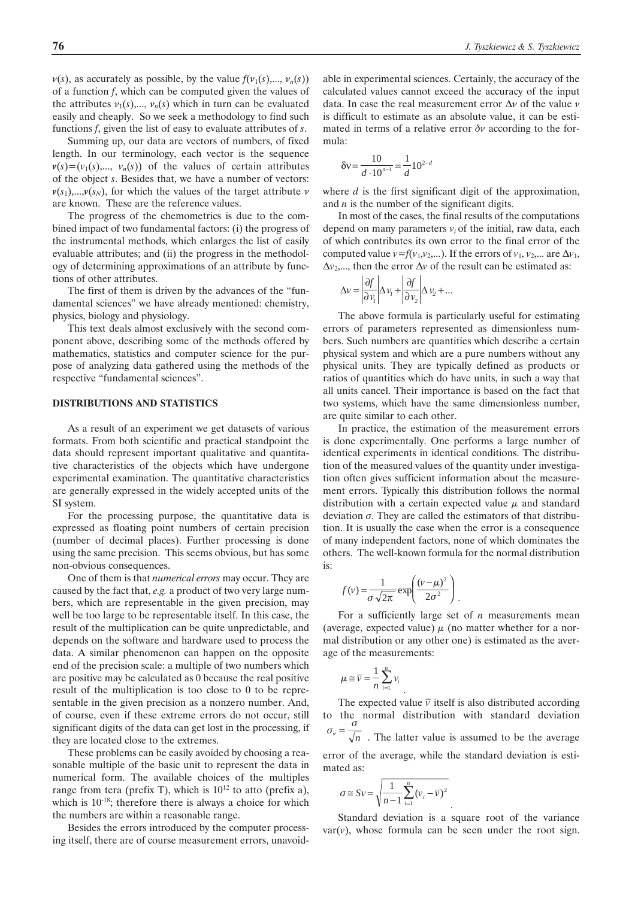$v(s)$ , as accurately as possible, by the value  $f(v_1(s),..., v_n(s))$ of a function *f*, which can be computed given the values of the attributes  $v_1(s),..., v_n(s)$  which in turn can be evaluated easily and cheaply. So we seek a methodology to find such functions *f*, given the list of easy to evaluate attributes of *s*.

Summing up, our data are vectors of numbers, of fixed length. In our terminology, each vector is the sequence  $v(s)=(v_1(s),..., v_n(s))$  of the values of certain attributes of the object *s*. Besides that, we have a number of vectors:  $v(s_1)$ ,..., $v(s_N)$ , for which the values of the target attribute v are known. These are the reference values.

The progress of the chemometrics is due to the combined impact of two fundamental factors: (i) the progress of the instrumental methods, which enlarges the list of easily evaluable attributes; and (ii) the progress in the methodology of determining approximations of an attribute by functions of other attributes.

The first of them is driven by the advances of the "fundamental sciences" we have already mentioned: chemistry, physics, biology and physiology.

This text deals almost exclusively with the second component above, describing some of the methods offered by mathematics, statistics and computer science for the purpose of analyzing data gathered using the methods of the respective "fundamental sciences".

## **DISTRIBUTIONS AND STATISTICS**

As a result of an experiment we get datasets of various formats. From both scientific and practical standpoint the data should represent important qualitative and quantitative characteristics of the objects which have undergone experimental examination. The quantitative characteristics are generally expressed in the widely accepted units of the SI system.

For the processing purpose, the quantitative data is expressed as floating point numbers of certain precision (number of decimal places). Further processing is done using the same precision. This seems obvious, but has some non-obvious consequences.

One of them is that *numerical errors* may occur. They are caused by the fact that, *e.g.* a product of two very large numbers, which are representable in the given precision, may well be too large to be representable itself. In this case, the result of the multiplication can be quite unpredictable, and depends on the software and hardware used to process the data. A similar phenomenon can happen on the opposite end of the precision scale: a multiple of two numbers which are positive may be calculated as 0 because the real positive result of the multiplication is too close to 0 to be representable in the given precision as a nonzero number. And, of course, even if these extreme errors do not occur, still significant digits of the data can get lost in the processing, if they are located close to the extremes.

These problems can be easily avoided by choosing a reasonable multiple of the basic unit to represent the data in numerical form. The available choices of the multiples range from tera (prefix T), which is  $10^{12}$  to atto (prefix a), which is  $10^{-18}$ ; therefore there is always a choice for which the numbers are within a reasonable range.

Besides the errors introduced by the computer processing itself, there are of course measurement errors, unavoidable in experimental sciences. Certainly, the accuracy of the calculated values cannot exceed the accuracy of the input data. In case the real measurement error  $\Delta v$  of the value v is difficult to estimate as an absolute value, it can be estimated in terms of a relative error  $\delta v$  according to the formula:

$$
\delta v = \frac{10}{d \cdot 10^{n-1}} = \frac{1}{d} 10^{2-d}
$$

where *d* is the first significant digit of the approximation, and *n* is the number of the significant digits.

In most of the cases, the final results of the computations depend on many parameters  $v_i$  of the initial, raw data, each of which contributes its own error to the final error of the computed value  $v=f(v_1,v_2,...)$ . If the errors of  $v_1, v_2,...$  are  $\Delta v_1$ ,  $\Delta v$ <sub>2</sub>,..., then the error  $\Delta v$  of the result can be estimated as:

$$
\Delta v = \left| \frac{\partial f}{\partial v_1} \right| \Delta v_1 + \left| \frac{\partial f}{\partial v_2} \right| \Delta v_2 + \dots
$$

The above formula is particularly useful for estimating errors of parameters represented as dimensionless numbers. Such numbers are quantities which describe a certain physical system and which are a pure numbers without any physical units. They are typically defined as products or ratios of quantities which do have units, in such a way that all units cancel. Their importance is based on the fact that two systems, which have the same dimensionless number, are quite similar to each other.

In practice, the estimation of the measurement errors is done experimentally. One performs a large number of identical experiments in identical conditions. The distribution of the measured values of the quantity under investigation often gives sufficient information about the measurement errors. Typically this distribution follows the normal distribution with a certain expected value  $\mu$  and standard deviation  $\sigma$ . They are called the estimators of that distribution. It is usually the case when the error is a consequence of many independent factors, none of which dominates the others. The well-known formula for the normal distribution is:

$$
f(v) = \frac{1}{\sigma \sqrt{2\pi}} \exp\left(\frac{(v - \mu)^2}{2\sigma^2}\right).
$$

.

For a sufficiently large set of *n* measurements mean (average, expected value)  $\mu$  (no matter whether for a normal distribution or any other one) is estimated as the average of the measurements:

$$
\mu \cong \overline{\nu} = \frac{1}{n} \sum_{i=1}^n v_i
$$

The expected value  $\bar{v}$  itself is also distributed according to the normal distribution with standard deviation  $\sqrt[n]{n}$ . The latter value is assumed to be the average error of the average, while the standard deviation is estimated as:  $\sigma_{\overline{v}} = \frac{\sigma}{\sqrt{r}}$ 

$$
\sigma \cong Sv = \sqrt{\frac{1}{n-1} \sum_{i=1}^{n} (v_i - \overline{v})^2}
$$

. Standard deviation is a square root of the variance  $var(v)$ , whose formula can be seen under the root sign.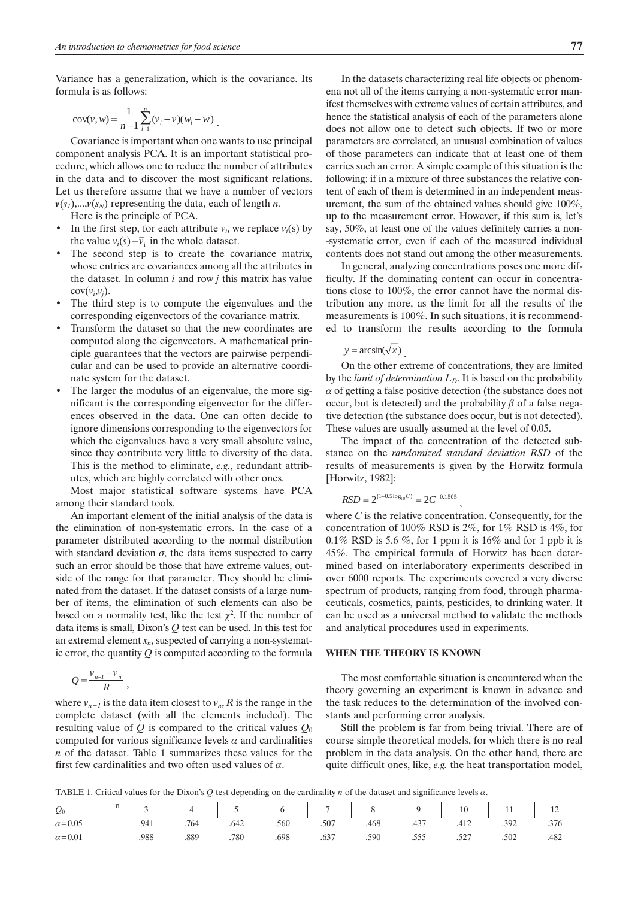Variance has a generalization, which is the covariance. Its formula is as follows:

$$
cov(v, w) = \frac{1}{n-1} \sum_{i=1}^{n} (v_i - \overline{v})(w_i - \overline{w}).
$$

Covariance is important when one wants to use principal component analysis PCA. It is an important statistical procedure, which allows one to reduce the number of attributes in the data and to discover the most significant relations. Let us therefore assume that we have a number of vectors  $v(s_1)$ ,..., $v(s_N)$  representing the data, each of length *n*.

Here is the principle of PCA.

- In the first step, for each attribute  $v_i$ , we replace  $v_i(s)$  by the value  $v_i(s) - \overline{v_i}$  in the whole dataset.
- The second step is to create the covariance matrix, whose entries are covariances among all the attributes in the dataset. In column *i* and row *j* this matrix has value  $cov(v_i,v_j)$ .
- The third step is to compute the eigenvalues and the corresponding eigenvectors of the covariance matrix.
- Transform the dataset so that the new coordinates are computed along the eigenvectors. A mathematical principle guarantees that the vectors are pairwise perpendicular and can be used to provide an alternative coordinate system for the dataset.
- The larger the modulus of an eigenvalue, the more significant is the corresponding eigenvector for the differences observed in the data. One can often decide to ignore dimensions corresponding to the eigenvectors for which the eigenvalues have a very small absolute value, since they contribute very little to diversity of the data. This is the method to eliminate, *e.g.*, redundant attributes, which are highly correlated with other ones.

Most major statistical software systems have PCA among their standard tools.

An important element of the initial analysis of the data is the elimination of non-systematic errors. In the case of a parameter distributed according to the normal distribution with standard deviation  $\sigma$ , the data items suspected to carry such an error should be those that have extreme values, outside of the range for that parameter. They should be eliminated from the dataset. If the dataset consists of a large number of items, the elimination of such elements can also be based on a normality test, like the test  $\chi^2$ . If the number of data items is small, Dixon's *Q* test can be used. In this test for an extremal element  $x_n$ , suspected of carrying a non-systematic error, the quantity *Q* is computed according to the formula

$$
Q=\frac{v_{n-l}-v_n}{R}\,,
$$

where  $v_{n-1}$  is the data item closest to  $v_n$ , R is the range in the complete dataset (with all the elements included). The resulting value of  $Q$  is compared to the critical values  $Q_0$ computed for various significance levels  $\alpha$  and cardinalities *n* of the dataset. Table 1 summarizes these values for the first few cardinalities and two often used values of  $\alpha$ .

In the datasets characterizing real life objects or phenomena not all of the items carrying a non-systematic error manifest themselves with extreme values of certain attributes, and hence the statistical analysis of each of the parameters alone does not allow one to detect such objects. If two or more parameters are correlated, an unusual combination of values of those parameters can indicate that at least one of them carries such an error. A simple example of this situation is the following: if in a mixture of three substances the relative content of each of them is determined in an independent measurement, the sum of the obtained values should give 100%, up to the measurement error. However, if this sum is, let's say, 50%, at least one of the values definitely carries a non- -systematic error, even if each of the measured individual contents does not stand out among the other measurements.

In general, analyzing concentrations poses one more difficulty. If the dominating content can occur in concentrations close to 100%, the error cannot have the normal distribution any more, as the limit for all the results of the measurements is 100%. In such situations, it is recommended to transform the results according to the formula

 $y = \arcsin(\sqrt{x})$ .

On the other extreme of concentrations, they are limited by the *limit of determination*  $L<sub>D</sub>$ . It is based on the probability  $\alpha$  of getting a false positive detection (the substance does not occur, but is detected) and the probability  $\beta$  of a false negative detection (the substance does occur, but is not detected). These values are usually assumed at the level of 0.05.

The impact of the concentration of the detected substance on the *randomized standard deviation RSD* of the results of measurements is given by the Horwitz formula [Horwitz, 1982]:

,

$$
RSD = 2^{(1-0.5\log_{10}C)} = 2C^{-0.1505}
$$

where *C* is the relative concentration. Consequently, for the concentration of 100% RSD is 2%, for 1% RSD is 4%, for  $0.1\%$  RSD is 5.6 %, for 1 ppm it is 16% and for 1 ppb it is 45%. The empirical formula of Horwitz has been determined based on interlaboratory experiments described in over 6000 reports. The experiments covered a very diverse spectrum of products, ranging from food, through pharmaceuticals, cosmetics, paints, pesticides, to drinking water. It can be used as a universal method to validate the methods and analytical procedures used in experiments.

## **WHEN THE THEORY IS KNOWN**

The most comfortable situation is encountered when the theory governing an experiment is known in advance and the task reduces to the determination of the involved constants and performing error analysis.

Still the problem is far from being trivial. There are of course simple theoretical models, for which there is no real problem in the data analysis. On the other hand, there are quite difficult ones, like, *e.g.* the heat transportation model,

TABLE 1. Critical values for the Dixon's  $Q$  test depending on the cardinality  $n$  of the dataset and significance levels  $\alpha$ .

| n<br>$Q_0$<br>$\cdots$ |      |      |      |      | $\overline{ }$ |      |      | 10   |              | $\overline{1}$ |
|------------------------|------|------|------|------|----------------|------|------|------|--------------|----------------|
| $\alpha = 0.05$        | .941 | .764 | .642 | .560 | .507           | .468 | .437 | .412 | 392<br>ے ر ب | .376           |
| $\alpha = 0.01$        | .988 | .889 | .780 | .698 | .637           | .590 | .555 | .527 | .502         | .482           |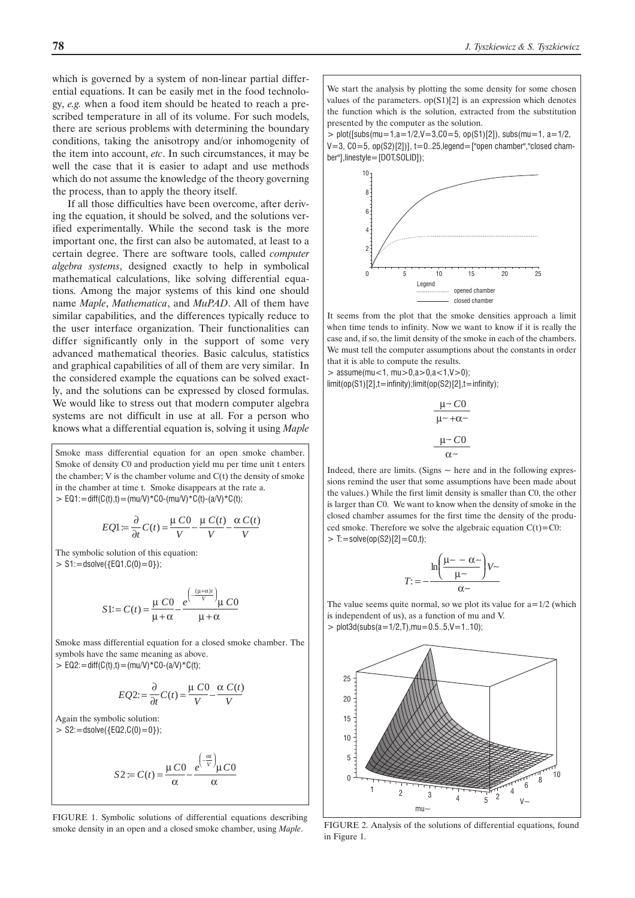which is governed by a system of non-linear partial differential equations. It can be easily met in the food technology, *e.g.* when a food item should be heated to reach a prescribed temperature in all of its volume. For such models, there are serious problems with determining the boundary conditions, taking the anisotropy and/or inhomogenity of the item into account, *etc*. In such circumstances, it may be well the case that it is easier to adapt and use methods which do not assume the knowledge of the theory governing the process, than to apply the theory itself.

If all those difficulties have been overcome, after deriving the equation, it should be solved, and the solutions verified experimentally. While the second task is the more important one, the first can also be automated, at least to a certain degree. There are software tools, called *computer algebra systems*, designed exactly to help in symbolical mathematical calculations, like solving differential equations. Among the major systems of this kind one should name *Maple*, *Mathematica*, and *MuPAD*. All of them have similar capabilities, and the differences typically reduce to the user interface organization. Their functionalities can differ significantly only in the support of some very advanced mathematical theories. Basic calculus, statistics and graphical capabilities of all of them are very similar. In the considered example the equations can be solved exactly, and the solutions can be expressed by closed formulas. We would like to stress out that modern computer algebra systems are not difficult in use at all. For a person who knows what a differential equation is, solving it using *Maple*

Smoke mass differential equation for an open smoke chamber. Smoke of density C0 and production yield mu per time unit t enters the chamber;  $V$  is the chamber volume and  $C(t)$  the density of smoke in the chamber at time t. Smoke disappears at the rate a.  $>$  EQ1:=diff(C(t),t)=(mu/V)\*C0-(mu/V)\*C(t)-(a/V)\*C(t);

$$
EQ1 := \frac{\partial}{\partial t} C(t) = \frac{\mu C0}{V} - \frac{\mu C(t)}{V} - \frac{\alpha C(t)}{V}
$$

The symbolic solution of this equation:  $> S1:=$ dsolve({EQ1,C(0)=0});

$$
S1 := C(t) = \frac{\mu C0}{\mu + \alpha} - \frac{e^{\left(-\frac{(\mu + \alpha)t}{V}\right)}\mu C0}{\mu + \alpha}
$$

Smoke mass differential equation for a closed smoke chamber. The symbols have the same meaning as above.  $> EQ2$ : = diff(C(t),t) = (mu/V) \*C0-(a/V) \*C(t);

$$
EQ2:=\frac{\partial}{\partial t}C(t)=\frac{\mu\ C0}{V}-\frac{\alpha\ C(t)}{V}
$$

Again the symbolic solution:  $>$  S2: = dsolve({EQ2,C(0) = 0});

$$
S2 := C(t) = \frac{\mu C0}{\alpha} - \frac{e^{\left(-\frac{\alpha t}{V}\right)}\mu C0}{\alpha}
$$

FIGURE 1. Symbolic solutions of differential equations describing smoke density in an open and a closed smoke chamber, using *Maple*.

We start the analysis by plotting the some density for some chosen values of the parameters.  $op(S1)[2]$  is an expression which denotes the function which is the solution, extracted from the substitution presented by the computer as the solution.

 $> plot([subs(mu=1,a=1/2,V=3,C0=5, op(S1)[2]), subs(mu=1, a=1/2,$  $V=3$ ,  $CO=5$ ,  $op(S2)[2])$ ,  $t=0..25$ , legend = ["open chamber", "closed chamber"],linestyle=[DOT,SOLID]);



It seems from the plot that the smoke densities approach a limit when time tends to infinity. Now we want to know if it is really the case and, if so, the limit density of the smoke in each of the chambers. We must tell the computer assumptions about the constants in order that it is able to compute the results.

 $>$  assume(mu<1, mu $> 0$ ,a $> 0$ ,a $< 1$ ,V $> 0$ );

limit(op(S1)[2],t=infinity);limit(op(S2)[2],t=infinity);

$$
\frac{\mu \sim C0}{\mu \sim +\alpha \sim}
$$

$$
\frac{\mu \sim C0}{\alpha \sim}
$$

Indeed, there are limits. (Signs  $\sim$  here and in the following expressions remind the user that some assumptions have been made about the values.) While the first limit density is smaller than C0, the other is larger than C0. We want to know when the density of smoke in the closed chamber assumes for the first time the density of the produced smoke. Therefore we solve the algebraic equation  $C(t) = C0$ :  $>$  T: = solve(op(S2)[2] = C0,t);

$$
T:=-\frac{\ln\left(\frac{\mu\sim-\alpha\sim}{\mu\sim}\right)V\sim}{\alpha\sim}
$$

The value seems quite normal, so we plot its value for  $a=1/2$  (which is independent of us), as a function of mu and V.

 $>$  plot3d(subs(a=1/2,T), mu=0.5..5, V=1..10);



FIGURE 2. Analysis of the solutions of differential equations, found in Figure 1.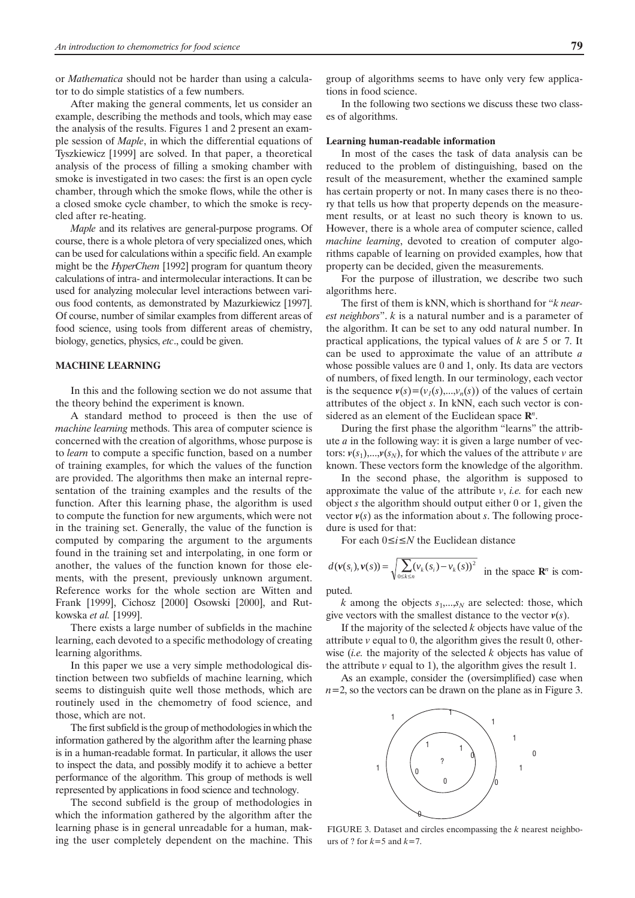or *Mathematica* should not be harder than using a calculator to do simple statistics of a few numbers.

After making the general comments, let us consider an example, describing the methods and tools, which may ease the analysis of the results. Figures 1 and 2 present an example session of *Maple*, in which the differential equations of Tyszkiewicz [1999] are solved. In that paper, a theoretical analysis of the process of filling a smoking chamber with smoke is investigated in two cases: the first is an open cycle chamber, through which the smoke flows, while the other is a closed smoke cycle chamber, to which the smoke is recycled after re-heating.

*Maple* and its relatives are general-purpose programs. Of course, there is a whole pletora of very specialized ones, which can be used for calculations within a specific field. An example might be the *HyperChem* [1992] program for quantum theory calculations of intra- and intermolecular interactions. It can be used for analyzing molecular level interactions between various food contents, as demonstrated by Mazurkiewicz [1997]. Of course, number of similar examples from different areas of food science, using tools from different areas of chemistry, biology, genetics, physics, *etc*., could be given.

### **MACHINE LEARNING**

In this and the following section we do not assume that the theory behind the experiment is known.

A standard method to proceed is then the use of *machine learning* methods. This area of computer science is concerned with the creation of algorithms, whose purpose is to *learn* to compute a specific function, based on a number of training examples, for which the values of the function are provided. The algorithms then make an internal representation of the training examples and the results of the function. After this learning phase, the algorithm is used to compute the function for new arguments, which were not in the training set. Generally, the value of the function is computed by comparing the argument to the arguments found in the training set and interpolating, in one form or another, the values of the function known for those elements, with the present, previously unknown argument. Reference works for the whole section are Witten and Frank [1999], Cichosz [2000] Osowski [2000], and Rutkowska *et al.* [1999].

There exists a large number of subfields in the machine learning, each devoted to a specific methodology of creating learning algorithms.

In this paper we use a very simple methodological distinction between two subfields of machine learning, which seems to distinguish quite well those methods, which are routinely used in the chemometry of food science, and those, which are not.

The first subfield is the group of methodologies in which the information gathered by the algorithm after the learning phase is in a human-readable format. In particular, it allows the user to inspect the data, and possibly modify it to achieve a better performance of the algorithm. This group of methods is well represented by applications in food science and technology.

The second subfield is the group of methodologies in which the information gathered by the algorithm after the learning phase is in general unreadable for a human, making the user completely dependent on the machine. This group of algorithms seems to have only very few applications in food science.

In the following two sections we discuss these two classes of algorithms.

### **Learning human-readable information**

In most of the cases the task of data analysis can be reduced to the problem of distinguishing, based on the result of the measurement, whether the examined sample has certain property or not. In many cases there is no theory that tells us how that property depends on the measurement results, or at least no such theory is known to us. However, there is a whole area of computer science, called *machine learning*, devoted to creation of computer algorithms capable of learning on provided examples, how that property can be decided, given the measurements.

For the purpose of illustration, we describe two such algorithms here.

The first of them is kNN, which is shorthand for "*k nearest neighbors*". *k* is a natural number and is a parameter of the algorithm. It can be set to any odd natural number. In practical applications, the typical values of *k* are 5 or 7. It can be used to approximate the value of an attribute *a* whose possible values are 0 and 1, only. Its data are vectors of numbers, of fixed length. In our terminology, each vector is the sequence  $v(s)=(v_1(s),...,v_n(s))$  of the values of certain attributes of the object *s*. In kNN, each such vector is considered as an element of the Euclidean space **R***<sup>n</sup>*.

During the first phase the algorithm "learns" the attribute *a* in the following way: it is given a large number of vectors:  $v(s_1)$ ,..., $v(s_N)$ , for which the values of the attribute *v* are known. These vectors form the knowledge of the algorithm.

In the second phase, the algorithm is supposed to approximate the value of the attribute *v*, *i.e.* for each new object *s* the algorithm should output either 0 or 1, given the vector  $v(s)$  as the information about *s*. The following procedure is used for that:

For each  $0 \le i \le N$  the Euclidean distance

$$
d(\mathbf{v}(s_i), \mathbf{v}(s)) = \sqrt{\sum_{0 \le k \le n} (v_k(s_i) - v_k(s))^2}
$$
 in the space  $\mathbb{R}^n$  is com-

puted.

*k* among the objects  $s_1, \ldots, s_N$  are selected: those, which give vectors with the smallest distance to the vector  $v(s)$ .

If the majority of the selected *k* objects have value of the attribute *v* equal to 0, the algorithm gives the result 0, otherwise (*i.e.* the majority of the selected *k* objects has value of the attribute  $\nu$  equal to 1), the algorithm gives the result 1.

As an example, consider the (oversimplified) case when  $n=2$ , so the vectors can be drawn on the plane as in Figure 3.



FIGURE 3. Dataset and circles encompassing the *k* nearest neighbours of ? for  $k=5$  and  $k=7$ .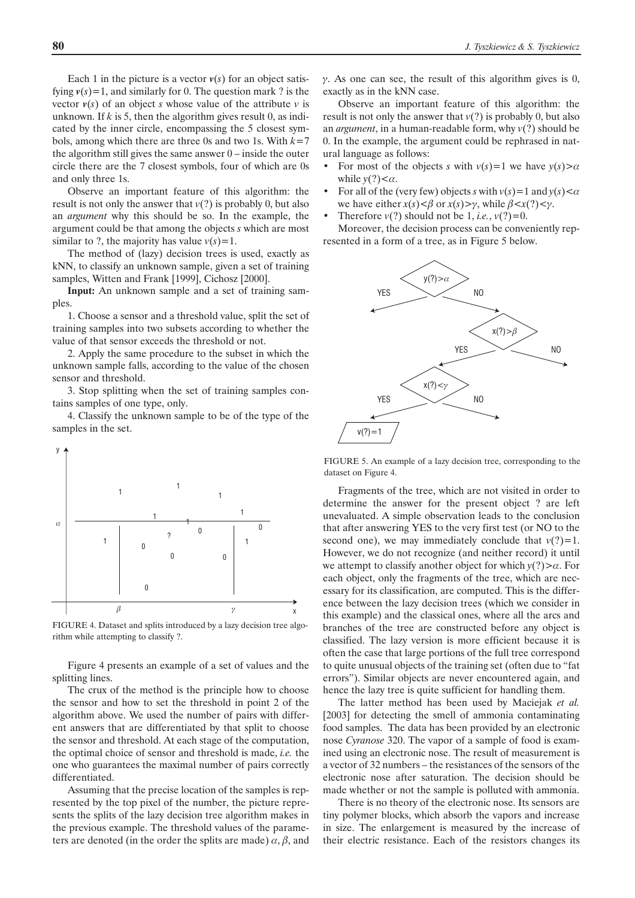Each 1 in the picture is a vector  $v(s)$  for an object satisfying  $v(s)=1$ , and similarly for 0. The question mark ? is the vector  $v(s)$  of an object *s* whose value of the attribute *v* is unknown. If  $k$  is 5, then the algorithm gives result 0, as indicated by the inner circle, encompassing the 5 closest symbols, among which there are three 0s and two 1s. With *k*=7 the algorithm still gives the same answer  $0$  – inside the outer circle there are the 7 closest symbols, four of which are 0s and only three 1s.

Observe an important feature of this algorithm: the result is not only the answer that  $v(?)$  is probably 0, but also an *argument* why this should be so. In the example, the argument could be that among the objects *s* which are most similar to ?, the majority has value  $v(s)=1$ .

The method of (lazy) decision trees is used, exactly as kNN, to classify an unknown sample, given a set of training samples, Witten and Frank [1999], Cichosz [2000].

**Input:** An unknown sample and a set of training samples.

1. Choose a sensor and a threshold value, split the set of training samples into two subsets according to whether the value of that sensor exceeds the threshold or not.

2. Apply the same procedure to the subset in which the unknown sample falls, according to the value of the chosen sensor and threshold.

3. Stop splitting when the set of training samples contains samples of one type, only.

4. Classify the unknown sample to be of the type of the samples in the set.



FIGURE 4. Dataset and splits introduced by a lazy decision tree algorithm while attempting to classify ?.

Figure 4 presents an example of a set of values and the splitting lines.

The crux of the method is the principle how to choose the sensor and how to set the threshold in point 2 of the algorithm above. We used the number of pairs with different answers that are differentiated by that split to choose the sensor and threshold. At each stage of the computation, the optimal choice of sensor and threshold is made, *i.e.* the one who guarantees the maximal number of pairs correctly differentiated.

Assuming that the precise location of the samples is represented by the top pixel of the number, the picture represents the splits of the lazy decision tree algorithm makes in the previous example. The threshold values of the parameters are denoted (in the order the splits are made)  $\alpha$ ,  $\beta$ , and

 $\gamma$ . As one can see, the result of this algorithm gives is 0, exactly as in the kNN case.

Observe an important feature of this algorithm: the result is not only the answer that *v*(?) is probably 0, but also an *argument*, in a human-readable form, why *v*(?) should be 0. In the example, the argument could be rephrased in natural language as follows:

- For most of the objects *s* with  $v(s)=1$  we have  $y(s) > a$ while  $y(?)<\alpha$ .
- For all of the (very few) objects *s* with  $v(s) = 1$  and  $v(s) < \alpha$ we have either  $x(s) < \beta$  or  $x(s) > \gamma$ , while  $\beta < x(?) < \gamma$ .
- Therefore  $v(?)$  should not be 1, *i.e.*,  $v(?) = 0$ .

Moreover, the decision process can be conveniently represented in a form of a tree, as in Figure 5 below.



FIGURE 5. An example of a lazy decision tree, corresponding to the dataset on Figure 4.

Fragments of the tree, which are not visited in order to determine the answer for the present object ? are left unevaluated. A simple observation leads to the conclusion that after answering YES to the very first test (or NO to the second one), we may immediately conclude that  $v(?)=1$ . However, we do not recognize (and neither record) it until we attempt to classify another object for which  $y(?) > \alpha$ . For each object, only the fragments of the tree, which are necessary for its classification, are computed. This is the difference between the lazy decision trees (which we consider in this example) and the classical ones, where all the arcs and branches of the tree are constructed before any object is classified. The lazy version is more efficient because it is often the case that large portions of the full tree correspond to quite unusual objects of the training set (often due to "fat errors"). Similar objects are never encountered again, and hence the lazy tree is quite sufficient for handling them.

The latter method has been used by Maciejak *et al.* [2003] for detecting the smell of ammonia contaminating food samples. The data has been provided by an electronic nose *Cyranose* 320. The vapor of a sample of food is examined using an electronic nose. The result of measurement is a vector of 32 numbers – the resistances of the sensors of the electronic nose after saturation. The decision should be made whether or not the sample is polluted with ammonia.

There is no theory of the electronic nose. Its sensors are tiny polymer blocks, which absorb the vapors and increase in size. The enlargement is measured by the increase of their electric resistance. Each of the resistors changes its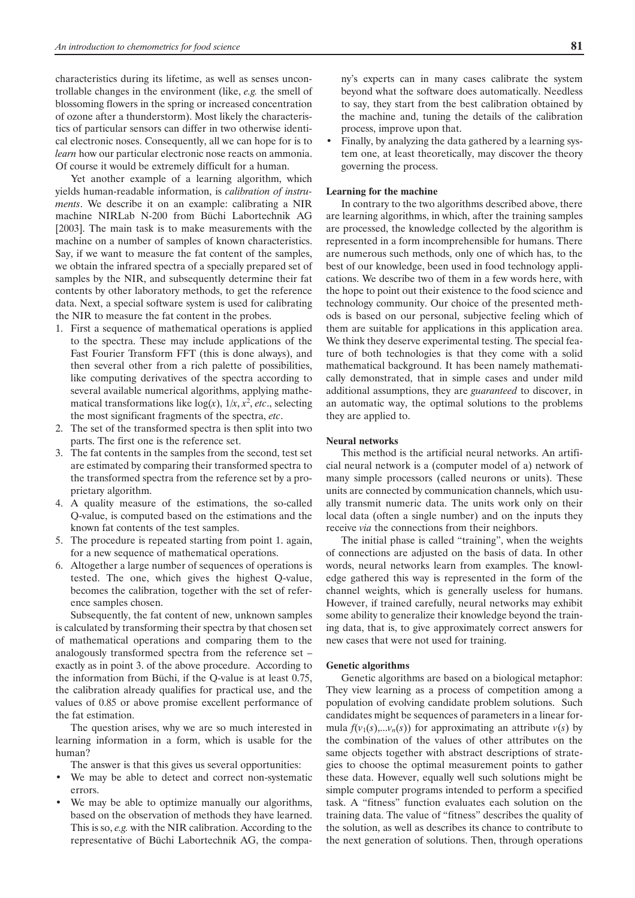characteristics during its lifetime, as well as senses uncontrollable changes in the environment (like, *e.g.* the smell of blossoming flowers in the spring or increased concentration of ozone after a thunderstorm). Most likely the characteristics of particular sensors can differ in two otherwise identical electronic noses. Consequently, all we can hope for is to *learn* how our particular electronic nose reacts on ammonia. Of course it would be extremely difficult for a human.

Yet another example of a learning algorithm, which yields human-readable information, is *calibration of instruments*. We describe it on an example: calibrating a NIR machine NIRLab N-200 from Büchi Labortechnik AG [2003]. The main task is to make measurements with the machine on a number of samples of known characteristics. Say, if we want to measure the fat content of the samples, we obtain the infrared spectra of a specially prepared set of samples by the NIR, and subsequently determine their fat contents by other laboratory methods, to get the reference data. Next, a special software system is used for calibrating the NIR to measure the fat content in the probes.

- 1. First a sequence of mathematical operations is applied to the spectra. These may include applications of the Fast Fourier Transform FFT (this is done always), and then several other from a rich palette of possibilities, like computing derivatives of the spectra according to several available numerical algorithms, applying mathematical transformations like  $log(x)$ ,  $1/x$ ,  $x^2$ , *etc.*, selecting the most significant fragments of the spectra, *etc*.
- 2. The set of the transformed spectra is then split into two parts. The first one is the reference set.
- 3. The fat contents in the samples from the second, test set are estimated by comparing their transformed spectra to the transformed spectra from the reference set by a proprietary algorithm.
- 4. A quality measure of the estimations, the so-called Q-value, is computed based on the estimations and the known fat contents of the test samples.
- 5. The procedure is repeated starting from point 1. again, for a new sequence of mathematical operations.
- 6. Altogether a large number of sequences of operations is tested. The one, which gives the highest Q-value, becomes the calibration, together with the set of reference samples chosen.

Subsequently, the fat content of new, unknown samples is calculated by transforming their spectra by that chosen set of mathematical operations and comparing them to the analogously transformed spectra from the reference set – exactly as in point 3. of the above procedure. According to the information from Büchi, if the Q-value is at least 0.75, the calibration already qualifies for practical use, and the values of 0.85 or above promise excellent performance of the fat estimation.

The question arises, why we are so much interested in learning information in a form, which is usable for the human?

The answer is that this gives us several opportunities:

- We may be able to detect and correct non-systematic errors.
- We may be able to optimize manually our algorithms, based on the observation of methods they have learned. This is so, *e.g.* with the NIR calibration. According to the representative of Büchi Labortechnik AG, the compa-

ny's experts can in many cases calibrate the system beyond what the software does automatically. Needless to say, they start from the best calibration obtained by the machine and, tuning the details of the calibration process, improve upon that.

• Finally, by analyzing the data gathered by a learning system one, at least theoretically, may discover the theory governing the process.

## **Learning for the machine**

In contrary to the two algorithms described above, there are learning algorithms, in which, after the training samples are processed, the knowledge collected by the algorithm is represented in a form incomprehensible for humans. There are numerous such methods, only one of which has, to the best of our knowledge, been used in food technology applications. We describe two of them in a few words here, with the hope to point out their existence to the food science and technology community. Our choice of the presented methods is based on our personal, subjective feeling which of them are suitable for applications in this application area. We think they deserve experimental testing. The special feature of both technologies is that they come with a solid mathematical background. It has been namely mathematically demonstrated, that in simple cases and under mild additional assumptions, they are *guaranteed* to discover, in an automatic way, the optimal solutions to the problems they are applied to.

## **Neural networks**

This method is the artificial neural networks. An artificial neural network is a (computer model of a) network of many simple processors (called neurons or units). These units are connected by communication channels, which usually transmit numeric data. The units work only on their local data (often a single number) and on the inputs they receive *via* the connections from their neighbors.

The initial phase is called "training", when the weights of connections are adjusted on the basis of data. In other words, neural networks learn from examples. The knowledge gathered this way is represented in the form of the channel weights, which is generally useless for humans. However, if trained carefully, neural networks may exhibit some ability to generalize their knowledge beyond the training data, that is, to give approximately correct answers for new cases that were not used for training.

### **Genetic algorithms**

Genetic algorithms are based on a biological metaphor: They view learning as a process of competition among a population of evolving candidate problem solutions. Such candidates might be sequences of parameters in a linear formula  $f(v_1(s),...,v_n(s))$  for approximating an attribute  $v(s)$  by the combination of the values of other attributes on the same objects together with abstract descriptions of strategies to choose the optimal measurement points to gather these data. However, equally well such solutions might be simple computer programs intended to perform a specified task. A "fitness" function evaluates each solution on the training data. The value of "fitness" describes the quality of the solution, as well as describes its chance to contribute to the next generation of solutions. Then, through operations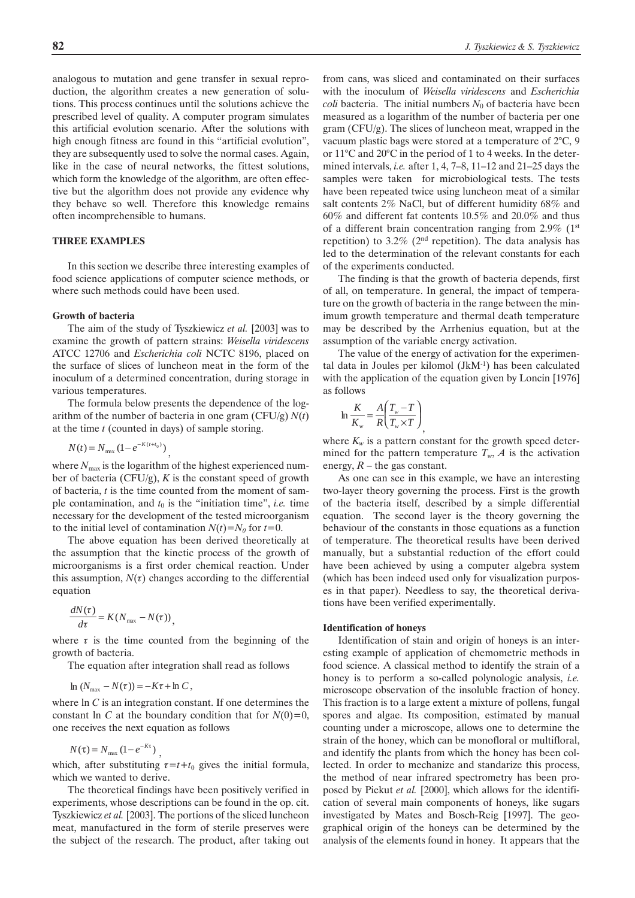analogous to mutation and gene transfer in sexual reproduction, the algorithm creates a new generation of solutions. This process continues until the solutions achieve the prescribed level of quality. A computer program simulates this artificial evolution scenario. After the solutions with high enough fitness are found in this "artificial evolution", they are subsequently used to solve the normal cases. Again, like in the case of neural networks, the fittest solutions, which form the knowledge of the algorithm, are often effective but the algorithm does not provide any evidence why they behave so well. Therefore this knowledge remains often incomprehensible to humans.

## **THREE EXAMPLES**

In this section we describe three interesting examples of food science applications of computer science methods, or where such methods could have been used.

### **Growth of bacteria**

The aim of the study of Tyszkiewicz *et al.* [2003] was to examine the growth of pattern strains: *Weisella viridescens* ATCC 12706 and *Escherichia coli* NCTC 8196, placed on the surface of slices of luncheon meat in the form of the inoculum of a determined concentration, during storage in various temperatures.

The formula below presents the dependence of the logarithm of the number of bacteria in one gram (CFU/g) *N*(*t*) at the time *t* (counted in days) of sample storing.

,

$$
N(t) = N_{\text{max}} \left( 1 - e^{-K(t + t_0)} \right)
$$

where  $N_{\text{max}}$  is the logarithm of the highest experienced number of bacteria (CFU/g),  $K$  is the constant speed of growth of bacteria, *t* is the time counted from the moment of sample contamination, and  $t_0$  is the "initiation time", *i.e.* time necessary for the development of the tested microorganism to the initial level of contamination  $N(t) = N_0$  for  $t = 0$ .

The above equation has been derived theoretically at the assumption that the kinetic process of the growth of microorganisms is a first order chemical reaction. Under this assumption,  $N(\tau)$  changes according to the differential equation

$$
\frac{dN(\tau)}{d\tau} = K(N_{\text{max}} - N(\tau))
$$

where  $\tau$  is the time counted from the beginning of the growth of bacteria.

,

The equation after integration shall read as follows

$$
\ln (N_{\text{max}} - N(\tau)) = -K\tau + \ln C,
$$

where ln *C* is an integration constant. If one determines the constant ln *C* at the boundary condition that for  $N(0)=0$ , one receives the next equation as follows

$$
N(\tau) = N_{\text{max}} \left( 1 - e^{-K\tau} \right)
$$

which, after substituting  $\tau = t + t_0$  gives the initial formula, which we wanted to derive.

,

The theoretical findings have been positively verified in experiments, whose descriptions can be found in the op. cit. Tyszkiewicz *et al.* [2003]. The portions of the sliced luncheon meat, manufactured in the form of sterile preserves were the subject of the research. The product, after taking out

from cans, was sliced and contaminated on their surfaces with the inoculum of *Weisella viridescens* and *Escherichia coli* bacteria. The initial numbers  $N_0$  of bacteria have been measured as a logarithm of the number of bacteria per one gram (CFU/g). The slices of luncheon meat, wrapped in the vacuum plastic bags were stored at a temperature of 2°C, 9 or 11°C and 20°C in the period of 1 to 4 weeks. In the determined intervals, *i.e.* after 1, 4, 7–8, 11–12 and 21–25 days the samples were taken for microbiological tests. The tests have been repeated twice using luncheon meat of a similar salt contents 2% NaCl, but of different humidity 68% and 60% and different fat contents 10.5% and 20.0% and thus of a different brain concentration ranging from  $2.9\%$  (1st repetition) to 3.2% ( $2<sup>nd</sup>$  repetition). The data analysis has led to the determination of the relevant constants for each of the experiments conducted.

The finding is that the growth of bacteria depends, first of all, on temperature. In general, the impact of temperature on the growth of bacteria in the range between the minimum growth temperature and thermal death temperature may be described by the Arrhenius equation, but at the assumption of the variable energy activation.

The value of the energy of activation for the experimental data in Joules per kilomol (JkM-1) has been calculated with the application of the equation given by Loncin [1976] as follows

$$
\ln \frac{K}{K_{w}} = \frac{A}{R} \left( \frac{T_{w} - T}{T_{w} \times T} \right)
$$

where  $K_w$  is a pattern constant for the growth speed determined for the pattern temperature  $T_w$ , *A* is the activation energy,  $R$  – the gas constant.

,

As one can see in this example, we have an interesting two-layer theory governing the process. First is the growth of the bacteria itself, described by a simple differential equation. The second layer is the theory governing the behaviour of the constants in those equations as a function of temperature. The theoretical results have been derived manually, but a substantial reduction of the effort could have been achieved by using a computer algebra system (which has been indeed used only for visualization purposes in that paper). Needless to say, the theoretical derivations have been verified experimentally.

### **Identification of honeys**

Identification of stain and origin of honeys is an interesting example of application of chemometric methods in food science. A classical method to identify the strain of a honey is to perform a so-called polynologic analysis, *i.e.* microscope observation of the insoluble fraction of honey. This fraction is to a large extent a mixture of pollens, fungal spores and algae. Its composition, estimated by manual counting under a microscope, allows one to determine the strain of the honey, which can be monofloral or multifloral, and identify the plants from which the honey has been collected. In order to mechanize and standarize this process, the method of near infrared spectrometry has been proposed by Piekut *et al.* [2000], which allows for the identification of several main components of honeys, like sugars investigated by Mates and Bosch-Reig [1997]. The geographical origin of the honeys can be determined by the analysis of the elements found in honey. It appears that the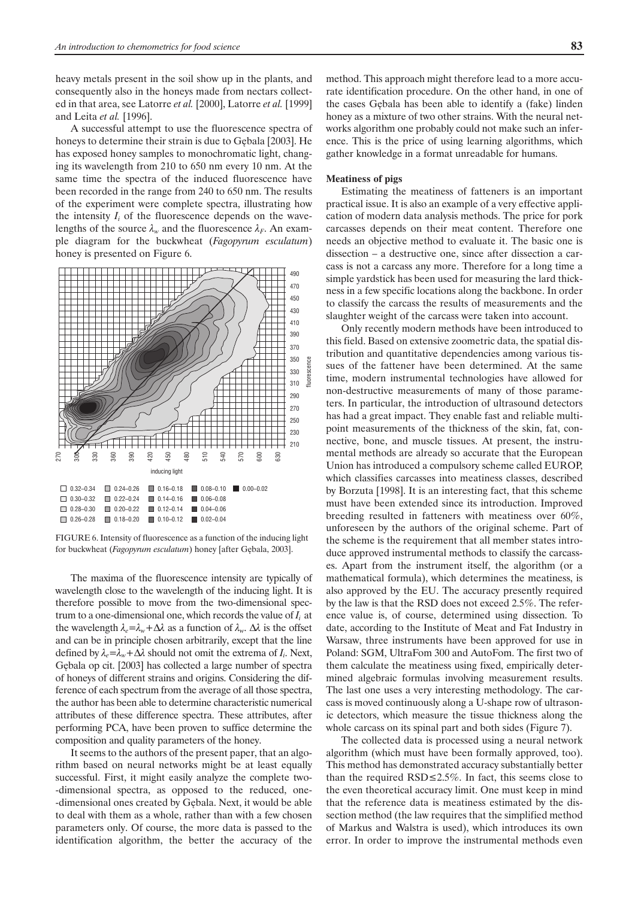heavy metals present in the soil show up in the plants, and consequently also in the honeys made from nectars collected in that area, see Latorre *et al.* [2000], Latorre *et al.* [1999] and Leita *et al.* [1996].

A successful attempt to use the fluorescence spectra of honeys to determine their strain is due to Gębala [2003]. He has exposed honey samples to monochromatic light, changing its wavelength from 210 to 650 nm every 10 nm. At the same time the spectra of the induced fluorescence have been recorded in the range from 240 to 650 nm. The results of the experiment were complete spectra, illustrating how the intensity  $I_i$  of the fluorescence depends on the wavelengths of the source  $\lambda_w$  and the fluorescence  $\lambda_F$ . An example diagram for the buckwheat (*Fagopyrum esculatum*) honey is presented on Figure 6.



FIGURE 6. Intensity of fluorescence as a function of the inducing light for buckwheat (Fagopyrum esculatum) honey [after Gębala, 2003].

The maxima of the fluorescence intensity are typically of wavelength close to the wavelength of the inducing light. It is therefore possible to move from the two-dimensional spectrum to a one-dimensional one, which records the value of  $I_i$  at the wavelength  $\lambda_e = \lambda_w + \Delta \lambda$  as a function of  $\lambda_w$ .  $\Delta \lambda$  is the offset and can be in principle chosen arbitrarily, except that the line defined by  $\lambda_e = \lambda_w + \Delta \lambda$  should not omit the extrema of  $I_i$ . Next, Gêbala op cit. [2003] has collected a large number of spectra of honeys of different strains and origins. Considering the difference of each spectrum from the average of all those spectra, the author has been able to determine characteristic numerical attributes of these difference spectra. These attributes, after performing PCA, have been proven to suffice determine the composition and quality parameters of the honey.

It seems to the authors of the present paper, that an algorithm based on neural networks might be at least equally successful. First, it might easily analyze the complete two- -dimensional spectra, as opposed to the reduced, one- -dimensional ones created by Gêbala. Next, it would be able to deal with them as a whole, rather than with a few chosen parameters only. Of course, the more data is passed to the identification algorithm, the better the accuracy of the method. This approach might therefore lead to a more accurate identification procedure. On the other hand, in one of the cases Gêbala has been able to identify a (fake) linden honey as a mixture of two other strains. With the neural networks algorithm one probably could not make such an inference. This is the price of using learning algorithms, which gather knowledge in a format unreadable for humans.

## **Meatiness of pigs**

Estimating the meatiness of fatteners is an important practical issue. It is also an example of a very effective application of modern data analysis methods. The price for pork carcasses depends on their meat content. Therefore one needs an objective method to evaluate it. The basic one is dissection – a destructive one, since after dissection a carcass is not a carcass any more. Therefore for a long time a simple yardstick has been used for measuring the lard thickness in a few specific locations along the backbone. In order to classify the carcass the results of measurements and the slaughter weight of the carcass were taken into account.

Only recently modern methods have been introduced to this field. Based on extensive zoometric data, the spatial distribution and quantitative dependencies among various tissues of the fattener have been determined. At the same time, modern instrumental technologies have allowed for non-destructive measurements of many of those parameters. In particular, the introduction of ultrasound detectors has had a great impact. They enable fast and reliable multipoint measurements of the thickness of the skin, fat, connective, bone, and muscle tissues. At present, the instrumental methods are already so accurate that the European Union has introduced a compulsory scheme called EUROP, which classifies carcasses into meatiness classes, described by Borzuta [1998]. It is an interesting fact, that this scheme must have been extended since its introduction. Improved breeding resulted in fatteners with meatiness over 60%, unforeseen by the authors of the original scheme. Part of the scheme is the requirement that all member states introduce approved instrumental methods to classify the carcasses. Apart from the instrument itself, the algorithm (or a mathematical formula), which determines the meatiness, is also approved by the EU. The accuracy presently required by the law is that the RSD does not exceed 2.5%. The reference value is, of course, determined using dissection. To date, according to the Institute of Meat and Fat Industry in Warsaw, three instruments have been approved for use in Poland: SGM, UltraFom 300 and AutoFom. The first two of them calculate the meatiness using fixed, empirically determined algebraic formulas involving measurement results. The last one uses a very interesting methodology. The carcass is moved continuously along a U-shape row of ultrasonic detectors, which measure the tissue thickness along the whole carcass on its spinal part and both sides (Figure 7).

The collected data is processed using a neural network algorithm (which must have been formally approved, too). This method has demonstrated accuracy substantially better than the required  $RSD \le 2.5\%$ . In fact, this seems close to the even theoretical accuracy limit. One must keep in mind that the reference data is meatiness estimated by the dissection method (the law requires that the simplified method of Markus and Walstra is used), which introduces its own error. In order to improve the instrumental methods even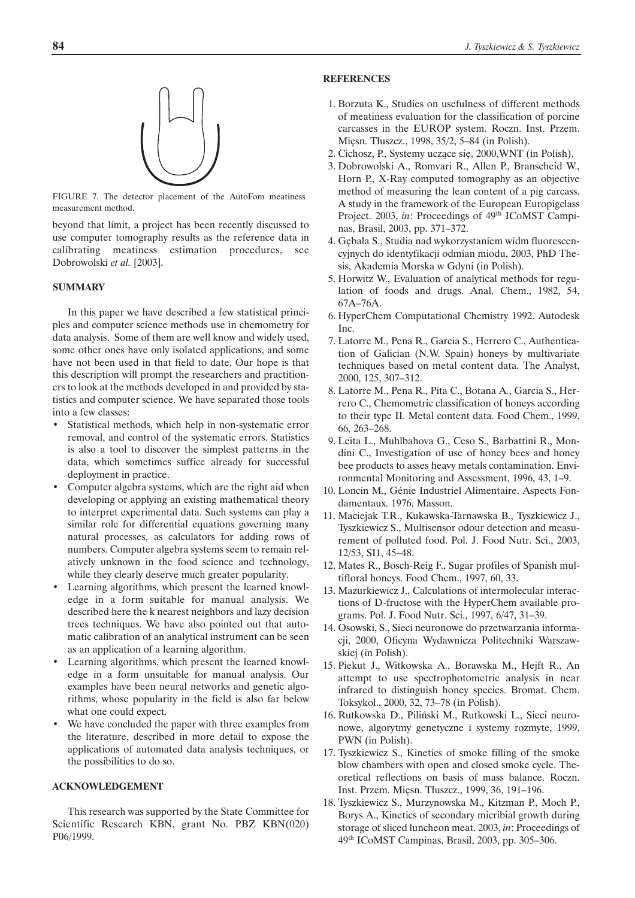

FIGURE 7. The detector placement of the AutoFom meatiness measurement method.

beyond that limit, a project has been recently discussed to use computer tomography results as the reference data in calibrating meatiness estimation procedures, see Dobrowolski *et al.* [2003].

# **SUMMARY**

In this paper we have described a few statistical principles and computer science methods use in chemometry for data analysis. Some of them are well know and widely used, some other ones have only isolated applications, and some have not been used in that field to date. Our hope is that this description will prompt the researchers and practitioners to look at the methods developed in and provided by statistics and computer science. We have separated those tools into a few classes:

- Statistical methods, which help in non-systematic error removal, and control of the systematic errors. Statistics is also a tool to discover the simplest patterns in the data, which sometimes suffice already for successful deployment in practice.
- Computer algebra systems, which are the right aid when developing or applying an existing mathematical theory to interpret experimental data. Such systems can play a similar role for differential equations governing many natural processes, as calculators for adding rows of numbers. Computer algebra systems seem to remain relatively unknown in the food science and technology, while they clearly deserve much greater popularity.
- Learning algorithms, which present the learned knowledge in a form suitable for manual analysis. We described here the k nearest neighbors and lazy decision trees techniques. We have also pointed out that automatic calibration of an analytical instrument can be seen as an application of a learning algorithm.
- Learning algorithms, which present the learned knowledge in a form unsuitable for manual analysis. Our examples have been neural networks and genetic algorithms, whose popularity in the field is also far below what one could expect.
- We have concluded the paper with three examples from the literature, described in more detail to expose the applications of automated data analysis techniques, or the possibilities to do so.

## **ACKNOWLEDGEMENT**

This research was supported by the State Committee for Scientific Research KBN, grant No. PBZ KBN(020) P06/1999.

# **REFERENCES**

- 1. Borzuta K., Studies on usefulness of different methods of meatiness evaluation for the classification of porcine carcasses in the EUROP system. Roczn. Inst. Przem. Mięsn. Tłuszcz., 1998, 35/2, 5-84 (in Polish).
- 2. Cichosz, P., Systemy uczące się, 2000, WNT (in Polish).
- 3. Dobrowolski A., Romvari R., Allen P., Branscheid W., Horn P., X-Ray computed tomography as an objective method of measuring the lean content of a pig carcass. A study in the framework of the European Europigclass Project. 2003, *in*: Proceedings of 49<sup>th</sup> ICoMST Campinas, Brasil, 2003, pp. 371–372.
- 4. Gêbala S., Studia nad wykorzystaniem widm fluorescencyjnych do identyfikacji odmian miodu, 2003, PhD Thesis, Akademia Morska w Gdyni (in Polish).
- 5. Horwitz W., Evaluation of analytical methods for regulation of foods and drugs. Anal. Chem., 1982, 54, 67A–76A.
- 6. HyperChem Computational Chemistry 1992. Autodesk Inc.
- 7. Latorre M., Pena R., Garcia S., Herrero C., Authentication of Galician (N.W. Spain) honeys by multivariate techniques based on metal content data. The Analyst, 2000, 125, 307–312.
- 8. Latorre M., Pena R., Pita C., Botana A., Garcia S., Herrero C., Chemometric classification of honeys according to their type II. Metal content data. Food Chem., 1999, 66, 263–268.
- 9. Leita L., Muhlbahova G., Ceso S., Barbattini R., Mondini C., Investigation of use of honey bees and honey bee products to asses heavy metals contamination. Environmental Monitoring and Assessment, 1996, 43, 1–9.
- 10. Loncin M., Génie Industriel Alimentaire. Aspects Fondamentaux. 1976, Masson.
- 11. Maciejak T.R., Kukawska-Tarnawska B., Tyszkiewicz J., Tyszkiewicz S., Multisensor odour detection and measurement of polluted food. Pol. J. Food Nutr. Sci., 2003, 12/53, SI1, 45–48.
- 12. Mates R., Bosch-Reig F., Sugar profiles of Spanish multifloral honeys. Food Chem., 1997, 60, 33.
- 13. Mazurkiewicz J., Calculations of intermolecular interactions of D-fructose with the HyperChem available programs. Pol. J. Food Nutr. Sci., 1997, 6/47, 31–39.
- 14. Osowski, S., Sieci neuronowe do przetwarzania informacji, 2000, Oficyna Wydawnicza Politechniki Warszawskiej (in Polish).
- 15. Piekut J., Witkowska A., Borawska M., Hejft R., An attempt to use spectrophotometric analysis in near infrared to distinguish honey species. Bromat. Chem. Toksykol., 2000, 32, 73–78 (in Polish).
- 16. Rutkowska D., Piliñski M., Rutkowski L., Sieci neuronowe, algorytmy genetyczne i systemy rozmyte, 1999, PWN (in Polish).
- 17. Tyszkiewicz S., Kinetics of smoke filling of the smoke blow chambers with open and closed smoke cycle. Theoretical reflections on basis of mass balance. Roczn. Inst. Przem. Mięsn. Tłuszcz., 1999, 36, 191-196.
- 18. Tyszkiewicz S., Murzynowska M., Kitzman P., Moch P., Borys A., Kinetics of secondary micribial growth during storage of sliced luncheon meat. 2003, *in*: Proceedings of 49th ICoMST Campinas, Brasil, 2003, pp. 305–306.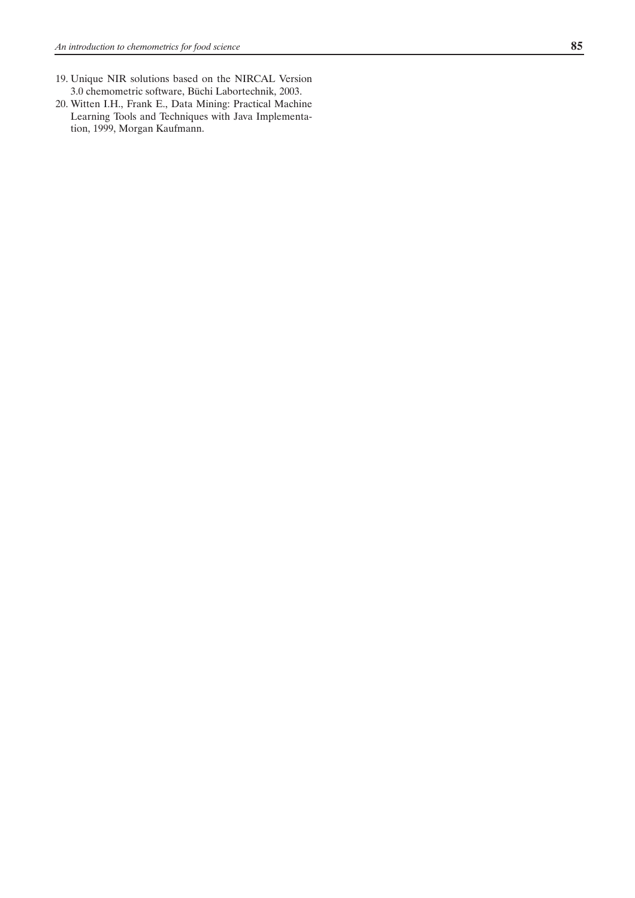- 19. Unique NIR solutions based on the NIRCAL Version 3.0 chemometric software, Büchi Labortechnik, 2003.
- 20. Witten I.H., Frank E., Data Mining: Practical Machine Learning Tools and Techniques with Java Implementation, 1999, Morgan Kaufmann.